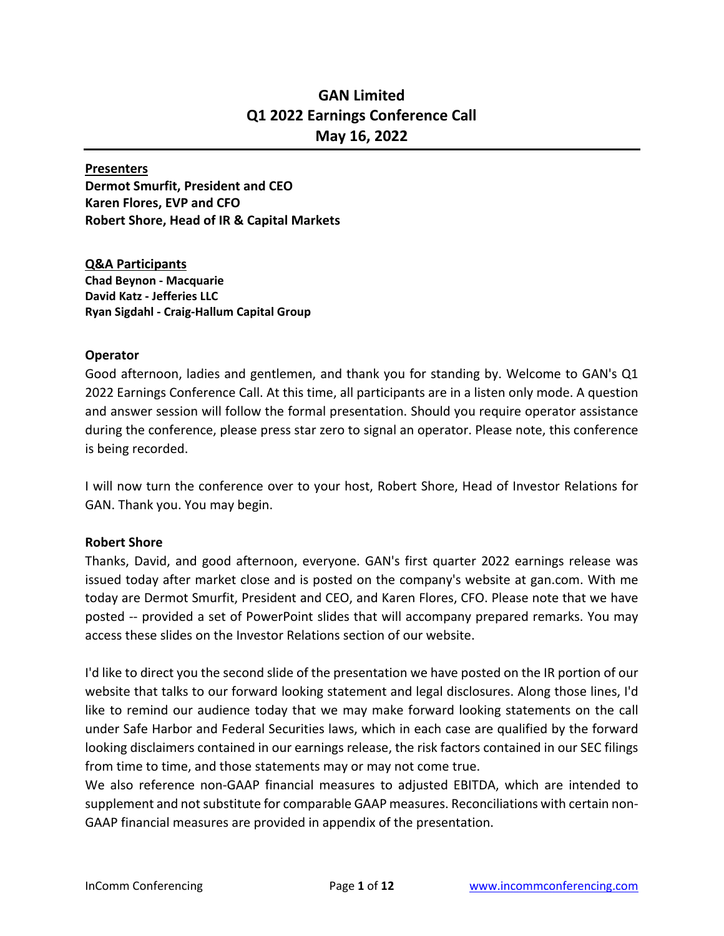# **GAN Limited Q1 2022 Earnings Conference Call May 16, 2022**

#### **Presenters**

**Dermot Smurfit, President and CEO Karen Flores, EVP and CFO Robert Shore, Head of IR & Capital Markets**

**Q&A Participants Chad Beynon - Macquarie David Katz - Jefferies LLC Ryan Sigdahl - Craig-Hallum Capital Group**

### **Operator**

Good afternoon, ladies and gentlemen, and thank you for standing by. Welcome to GAN's Q1 2022 Earnings Conference Call. At this time, all participants are in a listen only mode. A question and answer session will follow the formal presentation. Should you require operator assistance during the conference, please press star zero to signal an operator. Please note, this conference is being recorded.

I will now turn the conference over to your host, Robert Shore, Head of Investor Relations for GAN. Thank you. You may begin.

# **Robert Shore**

Thanks, David, and good afternoon, everyone. GAN's first quarter 2022 earnings release was issued today after market close and is posted on the company's website at gan.com. With me today are Dermot Smurfit, President and CEO, and Karen Flores, CFO. Please note that we have posted -- provided a set of PowerPoint slides that will accompany prepared remarks. You may access these slides on the Investor Relations section of our website.

I'd like to direct you the second slide of the presentation we have posted on the IR portion of our website that talks to our forward looking statement and legal disclosures. Along those lines, I'd like to remind our audience today that we may make forward looking statements on the call under Safe Harbor and Federal Securities laws, which in each case are qualified by the forward looking disclaimers contained in our earnings release, the risk factors contained in our SEC filings from time to time, and those statements may or may not come true.

We also reference non-GAAP financial measures to adjusted EBITDA, which are intended to supplement and not substitute for comparable GAAP measures. Reconciliations with certain non-GAAP financial measures are provided in appendix of the presentation.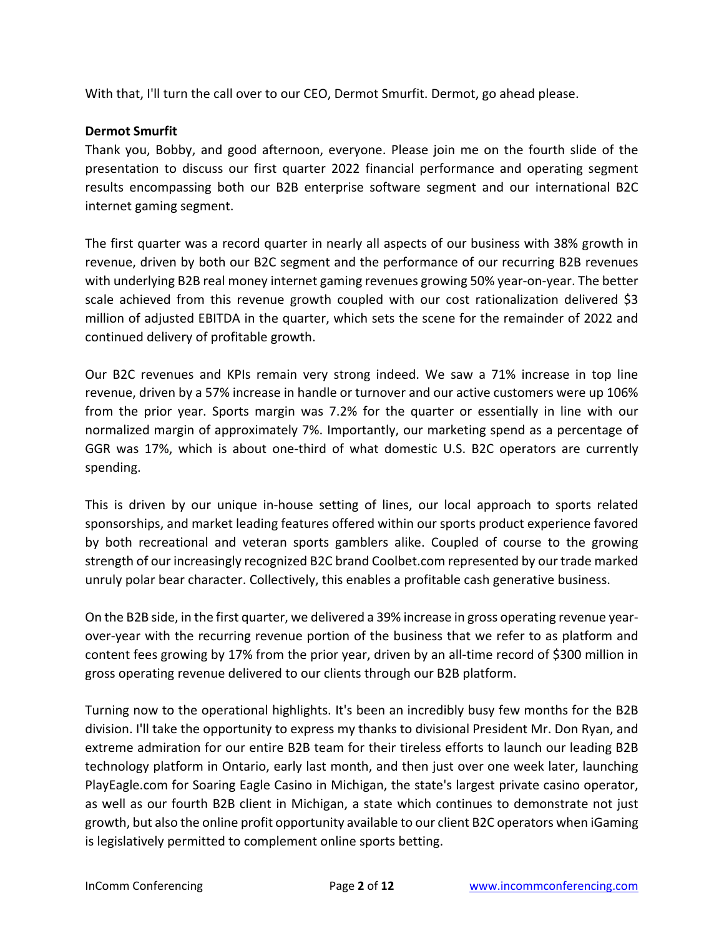With that, I'll turn the call over to our CEO, Dermot Smurfit. Dermot, go ahead please.

### **Dermot Smurfit**

Thank you, Bobby, and good afternoon, everyone. Please join me on the fourth slide of the presentation to discuss our first quarter 2022 financial performance and operating segment results encompassing both our B2B enterprise software segment and our international B2C internet gaming segment.

The first quarter was a record quarter in nearly all aspects of our business with 38% growth in revenue, driven by both our B2C segment and the performance of our recurring B2B revenues with underlying B2B real money internet gaming revenues growing 50% year-on-year. The better scale achieved from this revenue growth coupled with our cost rationalization delivered \$3 million of adjusted EBITDA in the quarter, which sets the scene for the remainder of 2022 and continued delivery of profitable growth.

Our B2C revenues and KPIs remain very strong indeed. We saw a 71% increase in top line revenue, driven by a 57% increase in handle or turnover and our active customers were up 106% from the prior year. Sports margin was 7.2% for the quarter or essentially in line with our normalized margin of approximately 7%. Importantly, our marketing spend as a percentage of GGR was 17%, which is about one-third of what domestic U.S. B2C operators are currently spending.

This is driven by our unique in-house setting of lines, our local approach to sports related sponsorships, and market leading features offered within our sports product experience favored by both recreational and veteran sports gamblers alike. Coupled of course to the growing strength of our increasingly recognized B2C brand Coolbet.com represented by our trade marked unruly polar bear character. Collectively, this enables a profitable cash generative business.

On the B2B side, in the first quarter, we delivered a 39% increase in gross operating revenue yearover-year with the recurring revenue portion of the business that we refer to as platform and content fees growing by 17% from the prior year, driven by an all-time record of \$300 million in gross operating revenue delivered to our clients through our B2B platform.

Turning now to the operational highlights. It's been an incredibly busy few months for the B2B division. I'll take the opportunity to express my thanks to divisional President Mr. Don Ryan, and extreme admiration for our entire B2B team for their tireless efforts to launch our leading B2B technology platform in Ontario, early last month, and then just over one week later, launching PlayEagle.com for Soaring Eagle Casino in Michigan, the state's largest private casino operator, as well as our fourth B2B client in Michigan, a state which continues to demonstrate not just growth, but also the online profit opportunity available to our client B2C operators when iGaming is legislatively permitted to complement online sports betting.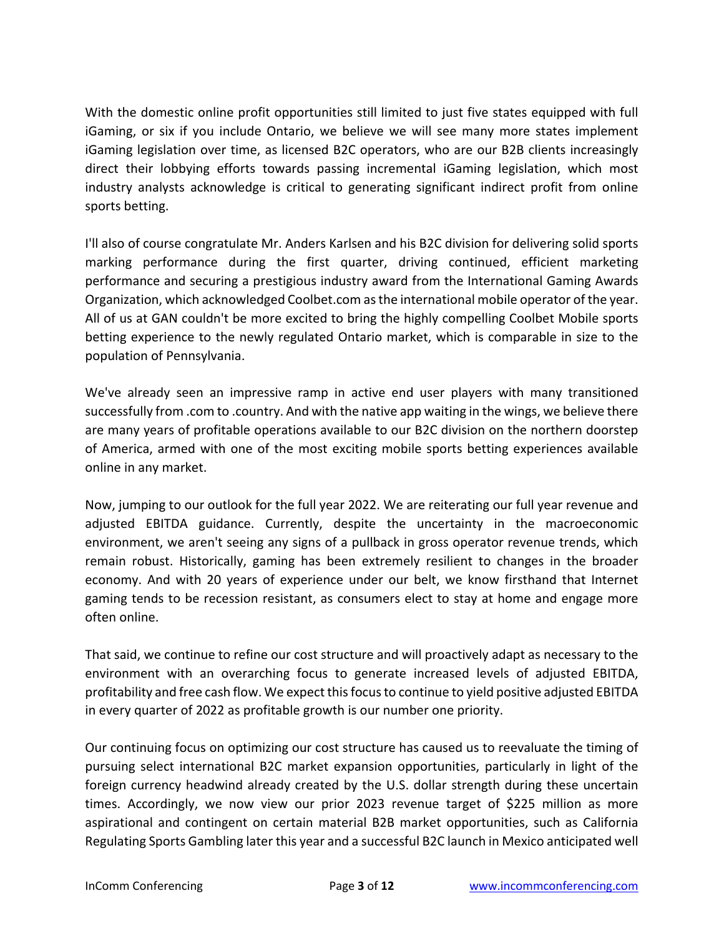With the domestic online profit opportunities still limited to just five states equipped with full iGaming, or six if you include Ontario, we believe we will see many more states implement iGaming legislation over time, as licensed B2C operators, who are our B2B clients increasingly direct their lobbying efforts towards passing incremental iGaming legislation, which most industry analysts acknowledge is critical to generating significant indirect profit from online sports betting.

I'll also of course congratulate Mr. Anders Karlsen and his B2C division for delivering solid sports marking performance during the first quarter, driving continued, efficient marketing performance and securing a prestigious industry award from the International Gaming Awards Organization, which acknowledged Coolbet.com as the international mobile operator of the year. All of us at GAN couldn't be more excited to bring the highly compelling Coolbet Mobile sports betting experience to the newly regulated Ontario market, which is comparable in size to the population of Pennsylvania.

We've already seen an impressive ramp in active end user players with many transitioned successfully from .com to .country. And with the native app waiting in the wings, we believe there are many years of profitable operations available to our B2C division on the northern doorstep of America, armed with one of the most exciting mobile sports betting experiences available online in any market.

Now, jumping to our outlook for the full year 2022. We are reiterating our full year revenue and adjusted EBITDA guidance. Currently, despite the uncertainty in the macroeconomic environment, we aren't seeing any signs of a pullback in gross operator revenue trends, which remain robust. Historically, gaming has been extremely resilient to changes in the broader economy. And with 20 years of experience under our belt, we know firsthand that Internet gaming tends to be recession resistant, as consumers elect to stay at home and engage more often online.

That said, we continue to refine our cost structure and will proactively adapt as necessary to the environment with an overarching focus to generate increased levels of adjusted EBITDA, profitability and free cash flow. We expect this focus to continue to yield positive adjusted EBITDA in every quarter of 2022 as profitable growth is our number one priority.

Our continuing focus on optimizing our cost structure has caused us to reevaluate the timing of pursuing select international B2C market expansion opportunities, particularly in light of the foreign currency headwind already created by the U.S. dollar strength during these uncertain times. Accordingly, we now view our prior 2023 revenue target of \$225 million as more aspirational and contingent on certain material B2B market opportunities, such as California Regulating Sports Gambling later this year and a successful B2C launch in Mexico anticipated well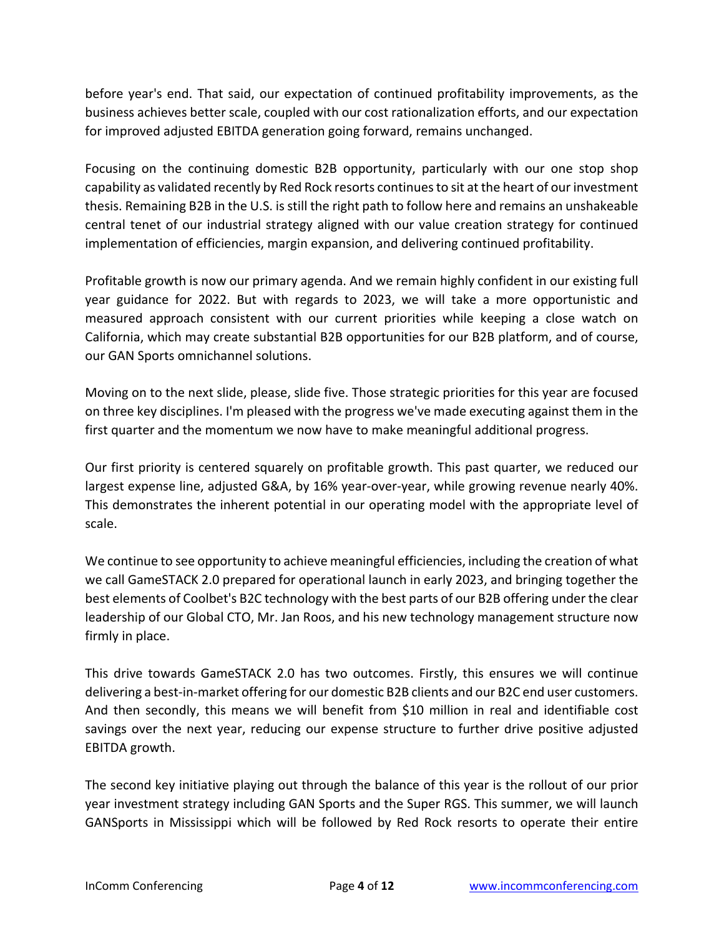before year's end. That said, our expectation of continued profitability improvements, as the business achieves better scale, coupled with our cost rationalization efforts, and our expectation for improved adjusted EBITDA generation going forward, remains unchanged.

Focusing on the continuing domestic B2B opportunity, particularly with our one stop shop capability as validated recently by Red Rock resorts continues to sit at the heart of our investment thesis. Remaining B2B in the U.S. is still the right path to follow here and remains an unshakeable central tenet of our industrial strategy aligned with our value creation strategy for continued implementation of efficiencies, margin expansion, and delivering continued profitability.

Profitable growth is now our primary agenda. And we remain highly confident in our existing full year guidance for 2022. But with regards to 2023, we will take a more opportunistic and measured approach consistent with our current priorities while keeping a close watch on California, which may create substantial B2B opportunities for our B2B platform, and of course, our GAN Sports omnichannel solutions.

Moving on to the next slide, please, slide five. Those strategic priorities for this year are focused on three key disciplines. I'm pleased with the progress we've made executing against them in the first quarter and the momentum we now have to make meaningful additional progress.

Our first priority is centered squarely on profitable growth. This past quarter, we reduced our largest expense line, adjusted G&A, by 16% year-over-year, while growing revenue nearly 40%. This demonstrates the inherent potential in our operating model with the appropriate level of scale.

We continue to see opportunity to achieve meaningful efficiencies, including the creation of what we call GameSTACK 2.0 prepared for operational launch in early 2023, and bringing together the best elements of Coolbet's B2C technology with the best parts of our B2B offering under the clear leadership of our Global CTO, Mr. Jan Roos, and his new technology management structure now firmly in place.

This drive towards GameSTACK 2.0 has two outcomes. Firstly, this ensures we will continue delivering a best-in-market offering for our domestic B2B clients and our B2C end user customers. And then secondly, this means we will benefit from \$10 million in real and identifiable cost savings over the next year, reducing our expense structure to further drive positive adjusted EBITDA growth.

The second key initiative playing out through the balance of this year is the rollout of our prior year investment strategy including GAN Sports and the Super RGS. This summer, we will launch GANSports in Mississippi which will be followed by Red Rock resorts to operate their entire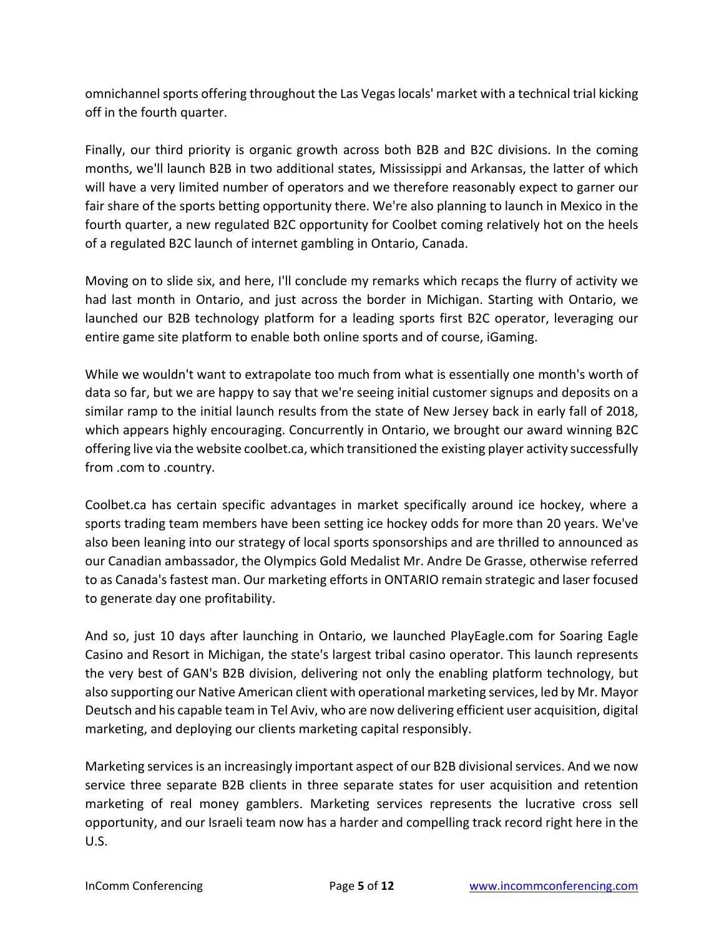omnichannel sports offering throughout the Las Vegas locals' market with a technical trial kicking off in the fourth quarter.

Finally, our third priority is organic growth across both B2B and B2C divisions. In the coming months, we'll launch B2B in two additional states, Mississippi and Arkansas, the latter of which will have a very limited number of operators and we therefore reasonably expect to garner our fair share of the sports betting opportunity there. We're also planning to launch in Mexico in the fourth quarter, a new regulated B2C opportunity for Coolbet coming relatively hot on the heels of a regulated B2C launch of internet gambling in Ontario, Canada.

Moving on to slide six, and here, I'll conclude my remarks which recaps the flurry of activity we had last month in Ontario, and just across the border in Michigan. Starting with Ontario, we launched our B2B technology platform for a leading sports first B2C operator, leveraging our entire game site platform to enable both online sports and of course, iGaming.

While we wouldn't want to extrapolate too much from what is essentially one month's worth of data so far, but we are happy to say that we're seeing initial customer signups and deposits on a similar ramp to the initial launch results from the state of New Jersey back in early fall of 2018, which appears highly encouraging. Concurrently in Ontario, we brought our award winning B2C offering live via the website coolbet.ca, which transitioned the existing player activity successfully from .com to .country.

Coolbet.ca has certain specific advantages in market specifically around ice hockey, where a sports trading team members have been setting ice hockey odds for more than 20 years. We've also been leaning into our strategy of local sports sponsorships and are thrilled to announced as our Canadian ambassador, the Olympics Gold Medalist Mr. Andre De Grasse, otherwise referred to as Canada's fastest man. Our marketing efforts in ONTARIO remain strategic and laser focused to generate day one profitability.

And so, just 10 days after launching in Ontario, we launched PlayEagle.com for Soaring Eagle Casino and Resort in Michigan, the state's largest tribal casino operator. This launch represents the very best of GAN's B2B division, delivering not only the enabling platform technology, but also supporting our Native American client with operational marketing services, led by Mr. Mayor Deutsch and his capable team in Tel Aviv, who are now delivering efficient user acquisition, digital marketing, and deploying our clients marketing capital responsibly.

Marketing services is an increasingly important aspect of our B2B divisional services. And we now service three separate B2B clients in three separate states for user acquisition and retention marketing of real money gamblers. Marketing services represents the lucrative cross sell opportunity, and our Israeli team now has a harder and compelling track record right here in the U.S.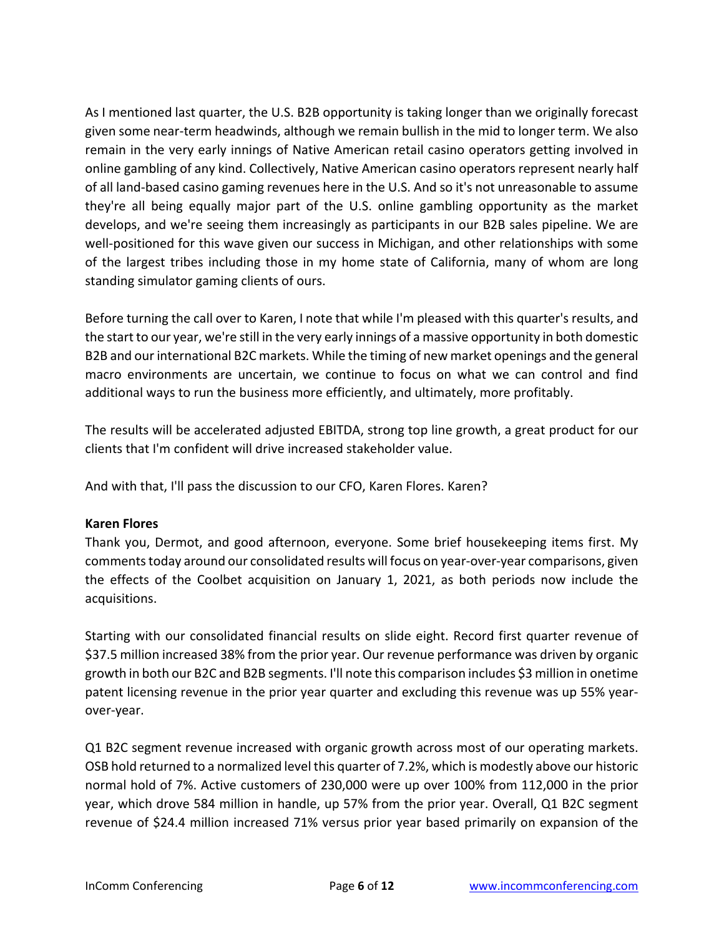As I mentioned last quarter, the U.S. B2B opportunity is taking longer than we originally forecast given some near-term headwinds, although we remain bullish in the mid to longer term. We also remain in the very early innings of Native American retail casino operators getting involved in online gambling of any kind. Collectively, Native American casino operators represent nearly half of all land-based casino gaming revenues here in the U.S. And so it's not unreasonable to assume they're all being equally major part of the U.S. online gambling opportunity as the market develops, and we're seeing them increasingly as participants in our B2B sales pipeline. We are well-positioned for this wave given our success in Michigan, and other relationships with some of the largest tribes including those in my home state of California, many of whom are long standing simulator gaming clients of ours.

Before turning the call over to Karen, I note that while I'm pleased with this quarter's results, and the start to our year, we're still in the very early innings of a massive opportunity in both domestic B2B and our international B2C markets. While the timing of new market openings and the general macro environments are uncertain, we continue to focus on what we can control and find additional ways to run the business more efficiently, and ultimately, more profitably.

The results will be accelerated adjusted EBITDA, strong top line growth, a great product for our clients that I'm confident will drive increased stakeholder value.

And with that, I'll pass the discussion to our CFO, Karen Flores. Karen?

# **Karen Flores**

Thank you, Dermot, and good afternoon, everyone. Some brief housekeeping items first. My comments today around our consolidated results will focus on year-over-year comparisons, given the effects of the Coolbet acquisition on January 1, 2021, as both periods now include the acquisitions.

Starting with our consolidated financial results on slide eight. Record first quarter revenue of \$37.5 million increased 38% from the prior year. Our revenue performance was driven by organic growth in both our B2C and B2B segments. I'll note this comparison includes \$3 million in onetime patent licensing revenue in the prior year quarter and excluding this revenue was up 55% yearover-year.

Q1 B2C segment revenue increased with organic growth across most of our operating markets. OSB hold returned to a normalized level this quarter of 7.2%, which is modestly above our historic normal hold of 7%. Active customers of 230,000 were up over 100% from 112,000 in the prior year, which drove 584 million in handle, up 57% from the prior year. Overall, Q1 B2C segment revenue of \$24.4 million increased 71% versus prior year based primarily on expansion of the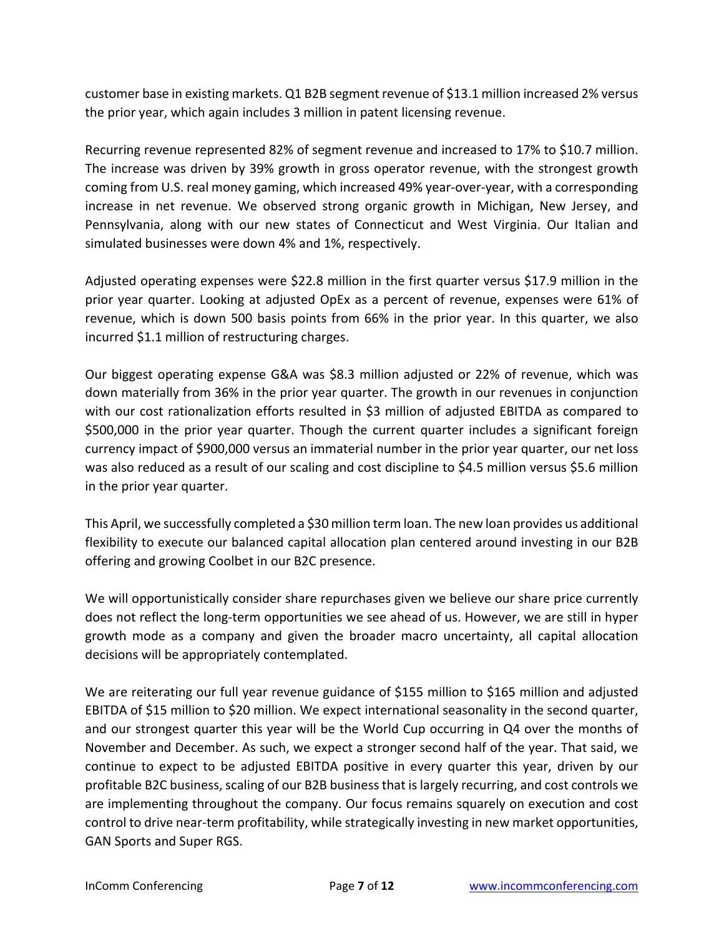customer base in existing markets. Q1 B2B segment revenue of \$13.1 million increased 2% versus the prior year, which again includes 3 million in patent licensing revenue.

Recurring revenue represented 82% of segment revenue and increased to 17% to \$10.7 million. The increase was driven by 39% growth in gross operator revenue, with the strongest growth coming from U.S. real money gaming, which increased 49% year-over-year, with a corresponding increase in net revenue. We observed strong organic growth in Michigan, New Jersey, and Pennsylvania, along with our new states of Connecticut and West Virginia. Our Italian and simulated businesses were down 4% and 1%, respectively.

Adjusted operating expenses were \$22.8 million in the first quarter versus \$17.9 million in the prior year quarter. Looking at adjusted OpEx as a percent of revenue, expenses were 61% of revenue, which is down 500 basis points from 66% in the prior year. In this quarter, we also incurred \$1.1 million of restructuring charges.

Our biggest operating expense G&A was \$8.3 million adjusted or 22% of revenue, which was down materially from 36% in the prior year quarter. The growth in our revenues in conjunction with our cost rationalization efforts resulted in \$3 million of adjusted EBITDA as compared to \$500,000 in the prior year quarter. Though the current quarter includes a significant foreign currency impact of \$900,000 versus an immaterial number in the prior year quarter, our net loss was also reduced as a result of our scaling and cost discipline to \$4.5 million versus \$5.6 million in the prior year quarter.

This April, we successfully completed a \$30 million term loan. The new loan provides us additional flexibility to execute our balanced capital allocation plan centered around investing in our B2B offering and growing Coolbet in our B2C presence.

We will opportunistically consider share repurchases given we believe our share price currently does not reflect the long-term opportunities we see ahead of us. However, we are still in hyper growth mode as a company and given the broader macro uncertainty, all capital allocation decisions will be appropriately contemplated.

We are reiterating our full year revenue guidance of \$155 million to \$165 million and adjusted EBITDA of \$15 million to \$20 million. We expect international seasonality in the second quarter, and our strongest quarter this year will be the World Cup occurring in Q4 over the months of November and December. As such, we expect a stronger second half of the year. That said, we continue to expect to be adjusted EBITDA positive in every quarter this year, driven by our profitable B2C business, scaling of our B2B business that is largely recurring, and cost controls we are implementing throughout the company. Our focus remains squarely on execution and cost control to drive near-term profitability, while strategically investing in new market opportunities, GAN Sports and Super RGS.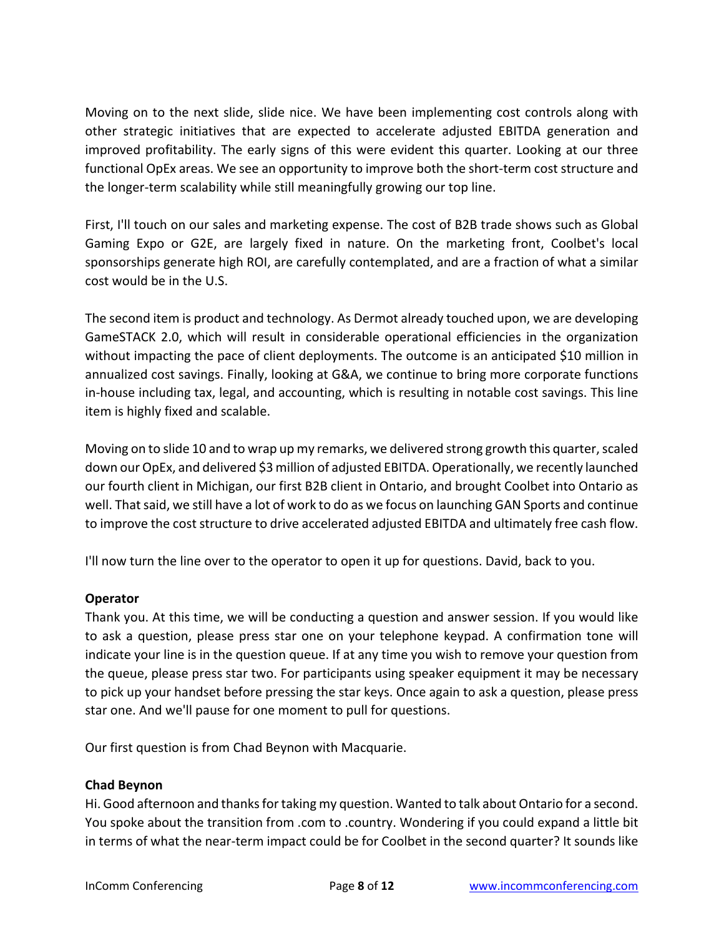Moving on to the next slide, slide nice. We have been implementing cost controls along with other strategic initiatives that are expected to accelerate adjusted EBITDA generation and improved profitability. The early signs of this were evident this quarter. Looking at our three functional OpEx areas. We see an opportunity to improve both the short-term cost structure and the longer-term scalability while still meaningfully growing our top line.

First, I'll touch on our sales and marketing expense. The cost of B2B trade shows such as Global Gaming Expo or G2E, are largely fixed in nature. On the marketing front, Coolbet's local sponsorships generate high ROI, are carefully contemplated, and are a fraction of what a similar cost would be in the U.S.

The second item is product and technology. As Dermot already touched upon, we are developing GameSTACK 2.0, which will result in considerable operational efficiencies in the organization without impacting the pace of client deployments. The outcome is an anticipated \$10 million in annualized cost savings. Finally, looking at G&A, we continue to bring more corporate functions in-house including tax, legal, and accounting, which is resulting in notable cost savings. This line item is highly fixed and scalable.

Moving on to slide 10 and to wrap up my remarks, we delivered strong growth this quarter, scaled down our OpEx, and delivered \$3 million of adjusted EBITDA. Operationally, we recently launched our fourth client in Michigan, our first B2B client in Ontario, and brought Coolbet into Ontario as well. That said, we still have a lot of work to do as we focus on launching GAN Sports and continue to improve the cost structure to drive accelerated adjusted EBITDA and ultimately free cash flow.

I'll now turn the line over to the operator to open it up for questions. David, back to you.

### **Operator**

Thank you. At this time, we will be conducting a question and answer session. If you would like to ask a question, please press star one on your telephone keypad. A confirmation tone will indicate your line is in the question queue. If at any time you wish to remove your question from the queue, please press star two. For participants using speaker equipment it may be necessary to pick up your handset before pressing the star keys. Once again to ask a question, please press star one. And we'll pause for one moment to pull for questions.

Our first question is from Chad Beynon with Macquarie.

### **Chad Beynon**

Hi. Good afternoon and thanks for taking my question. Wanted to talk about Ontario for a second. You spoke about the transition from .com to .country. Wondering if you could expand a little bit in terms of what the near-term impact could be for Coolbet in the second quarter? It sounds like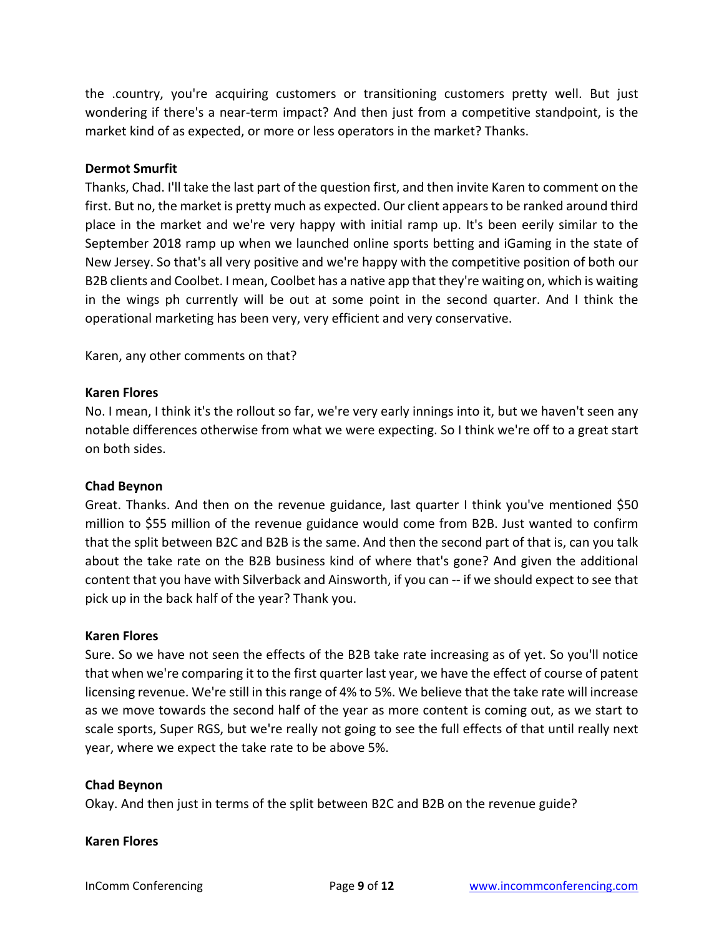the .country, you're acquiring customers or transitioning customers pretty well. But just wondering if there's a near-term impact? And then just from a competitive standpoint, is the market kind of as expected, or more or less operators in the market? Thanks.

#### **Dermot Smurfit**

Thanks, Chad. I'll take the last part of the question first, and then invite Karen to comment on the first. But no, the market is pretty much as expected. Our client appears to be ranked around third place in the market and we're very happy with initial ramp up. It's been eerily similar to the September 2018 ramp up when we launched online sports betting and iGaming in the state of New Jersey. So that's all very positive and we're happy with the competitive position of both our B2B clients and Coolbet. I mean, Coolbet has a native app that they're waiting on, which is waiting in the wings ph currently will be out at some point in the second quarter. And I think the operational marketing has been very, very efficient and very conservative.

Karen, any other comments on that?

#### **Karen Flores**

No. I mean, I think it's the rollout so far, we're very early innings into it, but we haven't seen any notable differences otherwise from what we were expecting. So I think we're off to a great start on both sides.

### **Chad Beynon**

Great. Thanks. And then on the revenue guidance, last quarter I think you've mentioned \$50 million to \$55 million of the revenue guidance would come from B2B. Just wanted to confirm that the split between B2C and B2B is the same. And then the second part of that is, can you talk about the take rate on the B2B business kind of where that's gone? And given the additional content that you have with Silverback and Ainsworth, if you can -- if we should expect to see that pick up in the back half of the year? Thank you.

#### **Karen Flores**

Sure. So we have not seen the effects of the B2B take rate increasing as of yet. So you'll notice that when we're comparing it to the first quarter last year, we have the effect of course of patent licensing revenue. We're still in this range of 4% to 5%. We believe that the take rate will increase as we move towards the second half of the year as more content is coming out, as we start to scale sports, Super RGS, but we're really not going to see the full effects of that until really next year, where we expect the take rate to be above 5%.

#### **Chad Beynon**

Okay. And then just in terms of the split between B2C and B2B on the revenue guide?

#### **Karen Flores**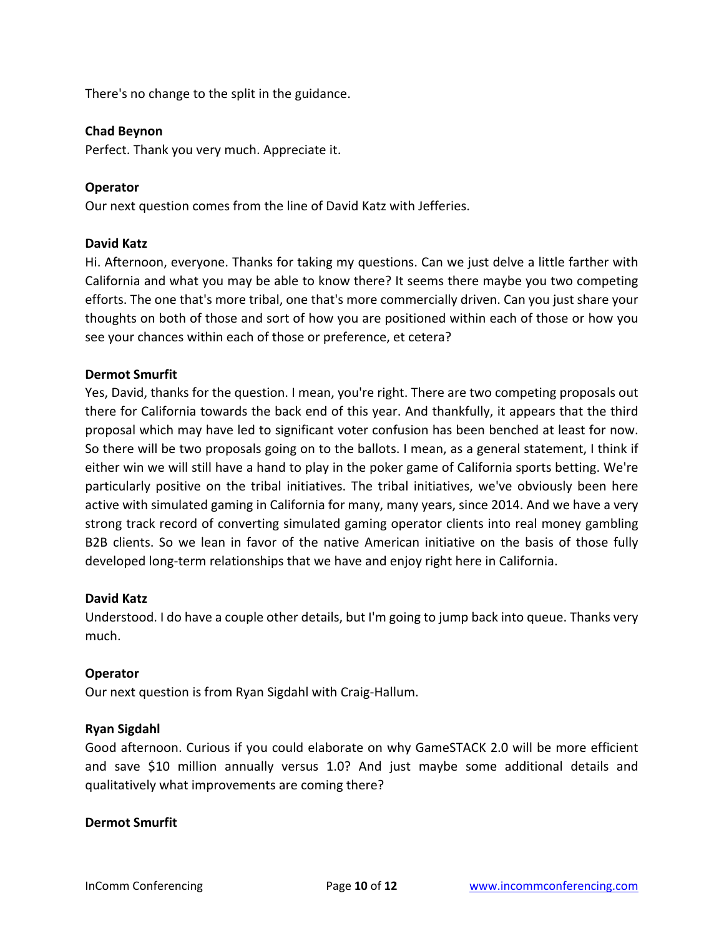There's no change to the split in the guidance.

#### **Chad Beynon**

Perfect. Thank you very much. Appreciate it.

#### **Operator**

Our next question comes from the line of David Katz with Jefferies.

#### **David Katz**

Hi. Afternoon, everyone. Thanks for taking my questions. Can we just delve a little farther with California and what you may be able to know there? It seems there maybe you two competing efforts. The one that's more tribal, one that's more commercially driven. Can you just share your thoughts on both of those and sort of how you are positioned within each of those or how you see your chances within each of those or preference, et cetera?

#### **Dermot Smurfit**

Yes, David, thanks for the question. I mean, you're right. There are two competing proposals out there for California towards the back end of this year. And thankfully, it appears that the third proposal which may have led to significant voter confusion has been benched at least for now. So there will be two proposals going on to the ballots. I mean, as a general statement, I think if either win we will still have a hand to play in the poker game of California sports betting. We're particularly positive on the tribal initiatives. The tribal initiatives, we've obviously been here active with simulated gaming in California for many, many years, since 2014. And we have a very strong track record of converting simulated gaming operator clients into real money gambling B2B clients. So we lean in favor of the native American initiative on the basis of those fully developed long-term relationships that we have and enjoy right here in California.

#### **David Katz**

Understood. I do have a couple other details, but I'm going to jump back into queue. Thanks very much.

#### **Operator**

Our next question is from Ryan Sigdahl with Craig-Hallum.

#### **Ryan Sigdahl**

Good afternoon. Curious if you could elaborate on why GameSTACK 2.0 will be more efficient and save \$10 million annually versus 1.0? And just maybe some additional details and qualitatively what improvements are coming there?

#### **Dermot Smurfit**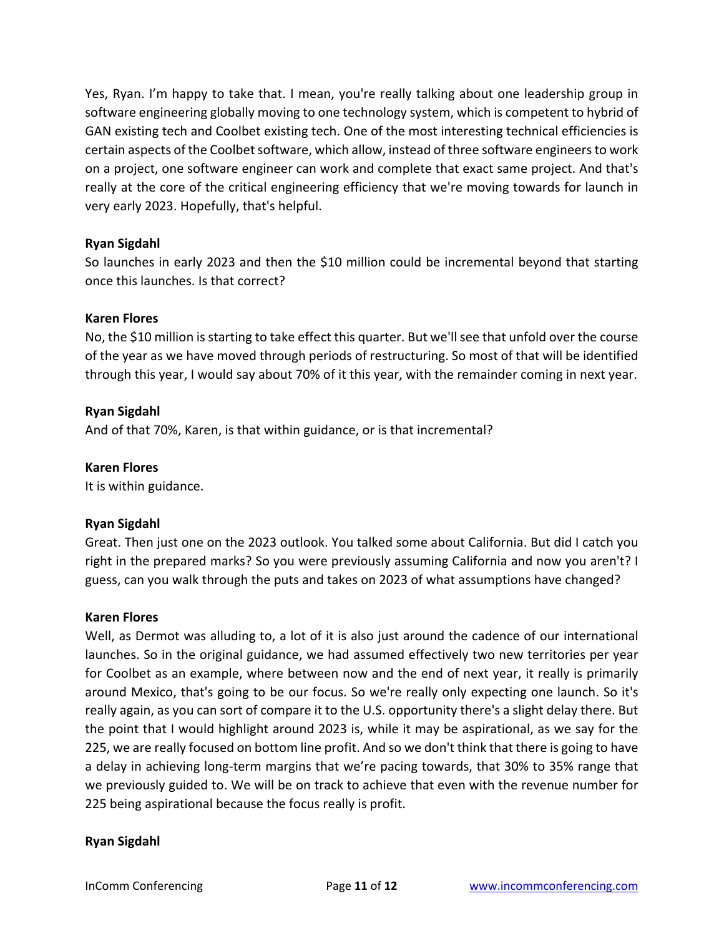Yes, Ryan. I'm happy to take that. I mean, you're really talking about one leadership group in software engineering globally moving to one technology system, which is competent to hybrid of GAN existing tech and Coolbet existing tech. One of the most interesting technical efficiencies is certain aspects of the Coolbet software, which allow, instead of three software engineers to work on a project, one software engineer can work and complete that exact same project. And that's really at the core of the critical engineering efficiency that we're moving towards for launch in very early 2023. Hopefully, that's helpful.

### **Ryan Sigdahl**

So launches in early 2023 and then the \$10 million could be incremental beyond that starting once this launches. Is that correct?

### **Karen Flores**

No, the \$10 million is starting to take effect this quarter. But we'll see that unfold over the course of the year as we have moved through periods of restructuring. So most of that will be identified through this year, I would say about 70% of it this year, with the remainder coming in next year.

### **Ryan Sigdahl**

And of that 70%, Karen, is that within guidance, or is that incremental?

### **Karen Flores**

It is within guidance.

### **Ryan Sigdahl**

Great. Then just one on the 2023 outlook. You talked some about California. But did I catch you right in the prepared marks? So you were previously assuming California and now you aren't? I guess, can you walk through the puts and takes on 2023 of what assumptions have changed?

### **Karen Flores**

Well, as Dermot was alluding to, a lot of it is also just around the cadence of our international launches. So in the original guidance, we had assumed effectively two new territories per year for Coolbet as an example, where between now and the end of next year, it really is primarily around Mexico, that's going to be our focus. So we're really only expecting one launch. So it's really again, as you can sort of compare it to the U.S. opportunity there's a slight delay there. But the point that I would highlight around 2023 is, while it may be aspirational, as we say for the 225, we are really focused on bottom line profit. And so we don't think that there is going to have a delay in achieving long-term margins that we're pacing towards, that 30% to 35% range that we previously guided to. We will be on track to achieve that even with the revenue number for 225 being aspirational because the focus really is profit.

### **Ryan Sigdahl**